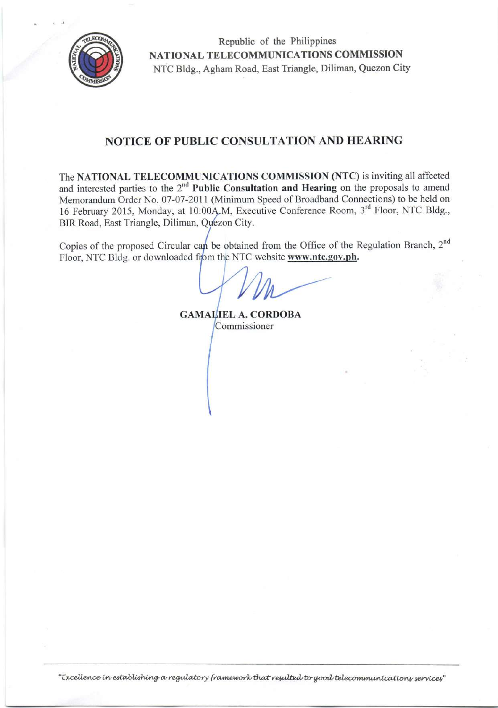

Republic of the Philippines NATIONAL TELECOMMUNICATIONS COMMISSION NTC Bldg., Agham Road, East Triangle, Diliman, Quezon City

# **NOTICE OF PUBLIC CONSULTATION AND HEARING**

The NATIONAL TELECOMMUNICATIONS COMMISSION (NTC) is inviting all affected and interested parties to the  $2<sup>nd</sup>$  Public Consultation and Hearing on the proposals to amend Memorandum Order No. 07-07-2011 (Minimum Speed of Broadband Connections) to be held on 16 February 2015, Monday, at 10:00A.M, Executive Conference Room, 3<sup>rd</sup> Floor, NTC Bldg., BIR Road, East Triangle, Diliman, Quezon City.

Copies of the proposed Circular can be obtained from the Office of the Regulation Branch, 2<sup>nd</sup> Floor, NTC Bldg. or downloaded from the NTC website www.ntc.gov.ph.

**GAMALIEL A. CORDOBA** Commissioner

"Excellence in establishing a regulatory framework that resulted to good telecommunications services"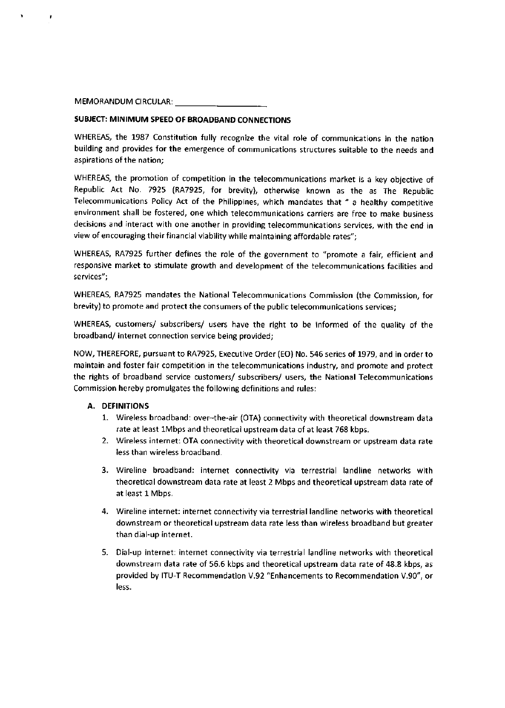#### MEMORANDUM CIRCULAR:

# SUBJECT: MINIMUM SPEED OF BROADBAND CONNECTIONS

WHEREAS, the 1987 Constitution fully recognize the vital role of communications in the nation building and provides for the emergence of communications structures suitable to the needs and aspirations of the nation;

WHEREAS, the promotion of competition in the telecommunications market is a key objective of Republic Act No. 7925 (RA7925, for brevity), otherwise known as the as The Republic Telecommunications Policy Act of the Philippines, which mandates that " a healthy competitive environment shall be fostered, one which telecommunications carriers are free to make business decisions and interact with one another in providing telecommunications services, with the end in view of encouraging their financial viability while maintaining affordable rates";

WHEREAS, RA7925 further defines the role of the government to "promote a fair, efficient and responsive market to stimulate growth and development of the telecommunications facilities and services";

WHEREAS, RA7925 mandates the National Telecommunications Commission (the Commission, for brevity) to promote and protect the consumers of the public telecommunications services;

WHEREAS, customers/ subscribers/ users have the right to be informed of the quality of the broadband/ internet connection service being provided;

NOW, THEREFORE, pursuant to RA7925, Executive Order (EO) No. 546 series of 1979, and in order to maintain and foster fair competition in the telecommunications industry, and promote and protect the rights of broadband service customers/ subscribers/ users, the National Telecommunications Commission hereby promulgates the following definitions and rules:

#### A. DEFINITIONS

- 1. Wireless broadband: over-the-air (OTA) connectivity with theoretical downstream data rate at least lMbps and theoretical upstream data of at least 768 kbps.
- 2. Wireless internet: OTA connectivity with theoretical downstream or upstream data rate less than wireless broadband.
- 3. Wireline broadband: internet connectivity via terrestrial landline networks with theoretical downstream data rate at least 2 Mbps and theoretical upstream data rate of at least 1 Mbps.
- 4. Wireline internet: internet connectivity via terrestrial landline networks with theoretical downstream or theoretical upstream data rate less than wireless broadband but greater than dial-up internet.
- 5. Dial-up internet: internet connectivity via terrestrial landline networks with theoretical downstream data rate of 56.5 kbps and theoretical upstream data rate of 48.8 kbps, as provided by ITU-T Recommendation V.92 "Enhancements to Recommendation V.90", or less.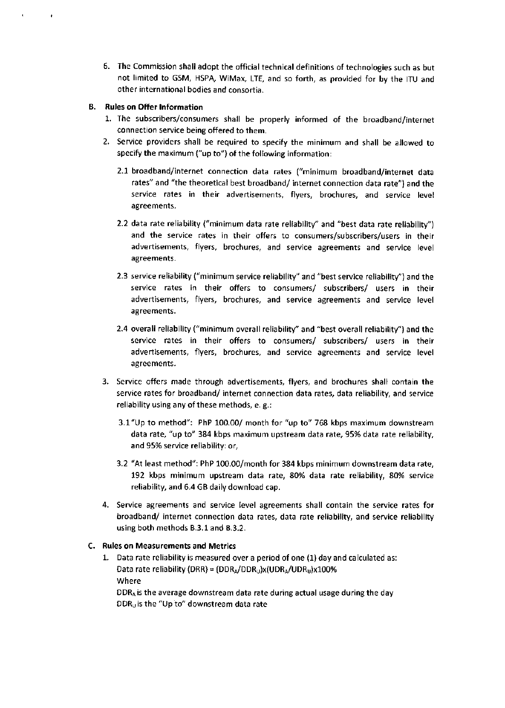6. The Commission shall adopt the official technical definitions of technologies such as but not limited to GSM, HSPA, WiMax, LTE, and so forth, as provided for by the ITU and other international bodies and consortia.

# B. Rules on Offer lnformation

 $\bullet$ 

- L. The subscribers/consumers shall be properly informed of the broadband/internet connection service being offered to them.
- 2. Service providers shall be required to specify the minimum and shall be allowed to specify the maximum ("up to") of the following information:
	- 2.1 broadband/internet connection data rates ("minimum broadband/internet data rates" and "the theoretical best broadband/ internet connection data rate") and the service rates in their advertisements, flyers, brochures, and service level agreements.
	- 2.2 data rate reliability ("minimum data rate reliability" and "best data rate reliability") and the service rates in their offers to consumers/subscribers/users in their advertisements, flyers, brochures, and service agreements and service level agreements.
	- 2.3 service reliability ("minimum service reliability" and "best service reliability") and the service rates in their offers to consumers/ subscribers/ users in their advertisements, flyers, brochures, and service agreements and service level agreements.
	- 2.4 overall reliability ("minimum overall reliability" and "best overall reliability") and the service rates in their offers to consumers/ subscribers/ users in their advertisements, flyers, brochures, and service agreements and service level agreements.
- 3. Service offers made through advertisements, flyers, and brochures shall contain the service rates for broadband/ internet connection data rates, data reliability, and service reliability using any of these methods, e. g.:
	- 3.L"Up to method": PhP 100.00/ month for "up to" 768 kbps maximum downstream data rate, "up to" 384 kbps maximum upstream data rate, 95% data rate reliability, and 95% service reliability: or,
	- 3.2 "At least method": PhP 100.00/month for 384 kbps minimum downstream data rate, 192 kbps minimum upstream data rate, 80% data rate reliability, sO% service reliability, and 5.4 GB daily download cap.
- 4. Service agreements and service level agreements shall contain the service rates for broadband/ internet connection data rates, data rate reliability, and service reliability using both methods B.3.1and B.3.2.

# C. Rules on Measurements and Metrics

1. Data rate reliability is measured over a period of one (1) day and calculated as: Data rate reliability (DRR) =  $(DDR_A/DDR_U)x(UDR_A/UDR_U)x100%$ Where

DDRA is the average downstream data rate during actual usage during the day  $DDR<sub>U</sub>$  is the "Up to" downstream data rate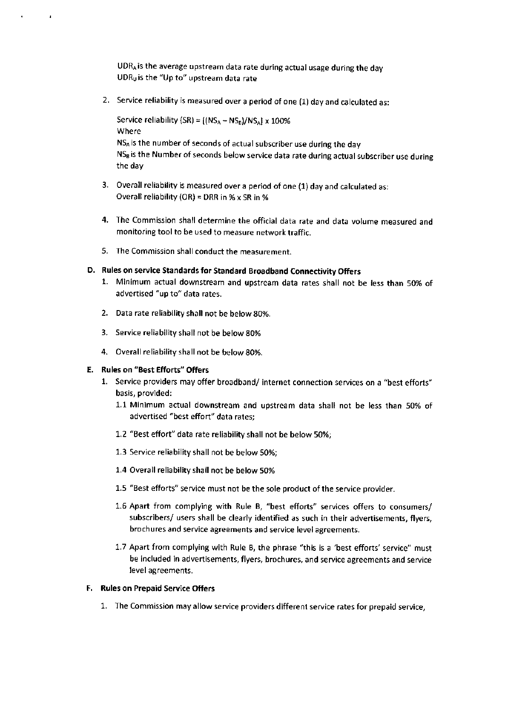UDRA is the average upstream data rate during actual usage during the day UDRg is the "Upto" upstream data rate

2. Service reliability is measured over a period of one (1) day and calculated as:

Service reliability (SR) =  $[(NS_A - NS_B)/NS_A] \times 100\%$ Where NSA is the number of seconds of actual subscriber use during the day  $NS<sub>B</sub>$  is the Number of seconds below service data rate during actual subscriber use during the day

- 3. Overall reliability is measured over a period of one (1) day and calculated as: Overall reliability (OR) = DRR in % x SR in %
- 4. The Commission shall determine the official data rate and data volume measured and monitoring tool to be used to measure network traffic.
- 5. The Commission shall conduct the measurement.

# D. Rules on service Standards for Standard Broadband Connectivity Offers

- 1. Minimum actual downstream and upstream data rates shall not be less than 50% of advertised "up to" data rates.
- 2. Data rate reliability shall not be below g0%.
- 3. Service reliability shall not be below 80%
- 4. Overall reliability shall not be below 8O%.

### E. Rules on "Best Efforts" Offers

 $\overline{a}$ 

- L. Service providers may offer broadband/ internet connection services on a "best efforts" basis, provided:
	- 1.1 Minimum actual downstream and upstream data shall not be less than 50% of advertised "best effort" data rates;
	- 1.2 "Best effort" data rate reliability shall not be below 50%;
	- L.3 Service reliability shall not be below 50%;
	- 1.4 Overall reliability shall not be below 50%
	- 1.5 "Best efforts" service must not be the sole product of the service provider.
	- 1.5 Apart from complying with Rule B, "best efforts" services offers to consumers/ subscribers/ users shall be clearly identified as such in their advertisements, flyers, brochures and service agreements and service level agreements.
	- 1.7 Apart from complying with Rule B, the phrase "this is a 'best efforts' service" must be included in advertisements, flyers, brochures, and service agreements and service level agreements.

#### F. Rules on Prepaid Service Offers

1. The Commission may allow service providers different service rates for prepaid service,